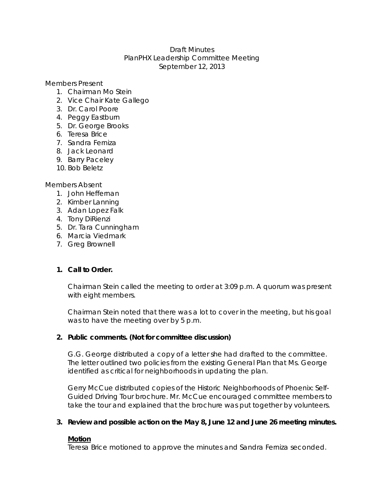## Draft Minutes PlanPHX Leadership Committee Meeting September 12, 2013

Members Present

- 1. Chairman Mo Stein
- 2. Vice Chair Kate Gallego
- 3. Dr. Carol Poore
- 4. Peggy Eastburn
- 5. Dr. George Brooks
- 6. Teresa Brice
- 7. Sandra Ferniza
- 8. Jack Leonard
- 9. Barry Paceley
- 10. Bob Beletz

Members Absent

- 1. John Heffernan
- 2. Kimber Lanning
- 3. Adan Lopez Falk
- 4. Tony DiRienzi
- 5. Dr. Tara Cunningham
- 6. Marcia Viedmark
- 7. Greg Brownell

## **1. Call to Order.**

Chairman Stein called the meeting to order at 3:09 p.m. A quorum was present with eight members.

Chairman Stein noted that there was a lot to cover in the meeting, but his goal was to have the meeting over by 5 p.m.

## **2. Public comments. (Not for committee discussion)**

G.G. George distributed a copy of a letter she had drafted to the committee. The letter outlined two policies from the existing General Plan that Ms. George identified as critical for neighborhoods in updating the plan.

Gerry McCue distributed copies of the Historic Neighborhoods of Phoenix: Self-Guided Driving Tour brochure. Mr. McCue encouraged committee members to take the tour and explained that the brochure was put together by volunteers.

## **3. Review and possible action on the May 8, June 12 and June 26 meeting minutes.**

### **Motion**

Teresa Brice motioned to approve the minutes and Sandra Ferniza seconded.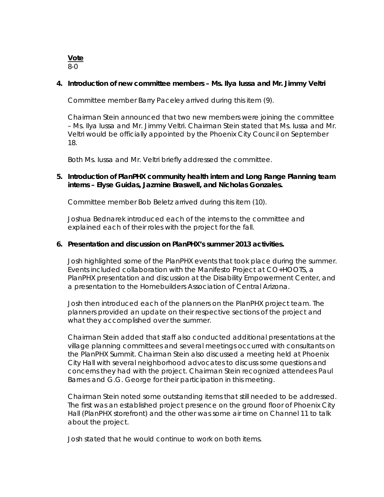**Vote**  8-0

#### **4. Introduction of new committee members – Ms. Ilya Iussa and Mr. Jimmy Veltri**

*Committee member Barry Paceley arrived during this item (9).* 

Chairman Stein announced that two new members were joining the committee – Ms. Ilya Iussa and Mr. Jimmy Veltri. Chairman Stein stated that Ms. Iussa and Mr. Veltri would be officially appointed by the Phoenix City Council on September 18.

Both Ms. Iussa and Mr. Veltri briefly addressed the committee.

## **5. Introduction of PlanPHX community health intern and Long Range Planning team interns – Elyse Guidas, Jazmine Braswell, and Nicholas Gonzales.**

*Committee member Bob Beletz arrived during this item (10).* 

Joshua Bednarek introduced each of the interns to the committee and explained each of their roles with the project for the fall.

#### **6. Presentation and discussion on PlanPHX's summer 2013 activities.**

Josh highlighted some of the PlanPHX events that took place during the summer. Events included collaboration with the Manifesto Project at CO+HOOTS, a PlanPHX presentation and discussion at the Disability Empowerment Center, and a presentation to the Homebuilders Association of Central Arizona.

Josh then introduced each of the planners on the PlanPHX project team. The planners provided an update on their respective sections of the project and what they accomplished over the summer.

Chairman Stein added that staff also conducted additional presentations at the village planning committees and several meetings occurred with consultants on the PlanPHX Summit. Chairman Stein also discussed a meeting held at Phoenix City Hall with several neighborhood advocates to discuss some questions and concerns they had with the project. Chairman Stein recognized attendees Paul Barnes and G.G. George for their participation in this meeting.

Chairman Stein noted some outstanding items that still needed to be addressed. The first was an established project presence on the ground floor of Phoenix City Hall (PlanPHX storefront) and the other was some air time on Channel 11 to talk about the project.

Josh stated that he would continue to work on both items.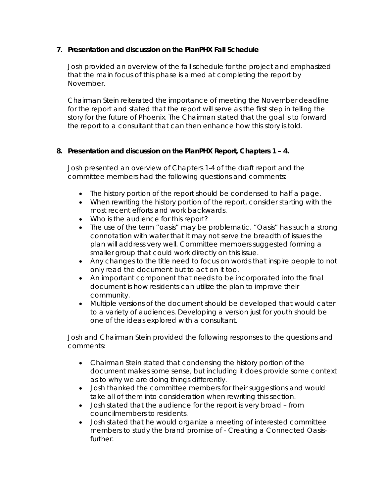## **7. Presentation and discussion on the PlanPHX Fall Schedule**

Josh provided an overview of the fall schedule for the project and emphasized that the main focus of this phase is aimed at completing the report by November.

Chairman Stein reiterated the importance of meeting the November deadline for the report and stated that the report will serve as the first step in telling the story for the future of Phoenix. The Chairman stated that the goal is to forward the report to a consultant that can then enhance how this story is told.

# **8. Presentation and discussion on the PlanPHX Report, Chapters 1 – 4.**

Josh presented an overview of Chapters 1-4 of the draft report and the committee members had the following questions and comments:

- The history portion of the report should be condensed to half a page.
- When rewriting the history portion of the report, consider starting with the most recent efforts and work backwards.
- Who is the audience for this report?
- The use of the term "oasis" may be problematic. "Oasis" has such a strong connotation with water that it may not serve the breadth of issues the plan will address very well. Committee members suggested forming a smaller group that could work directly on this issue.
- Any changes to the title need to focus on words that inspire people to not only read the document but to act on it too.
- An important component that needs to be incorporated into the final document is how residents can utilize the plan to improve their community.
- Multiple versions of the document should be developed that would cater to a variety of audiences. Developing a version just for youth should be one of the ideas explored with a consultant.

Josh and Chairman Stein provided the following responses to the questions and comments:

- Chairman Stein stated that condensing the history portion of the document makes some sense, but including it does provide some context as to why we are doing things differently.
- Josh thanked the committee members for their suggestions and would take all of them into consideration when rewriting this section.
- Josh stated that the audience for the report is very broad from councilmembers to residents.
- Josh stated that he would organize a meeting of interested committee members to study the brand promise of - Creating a Connected Oasisfurther.